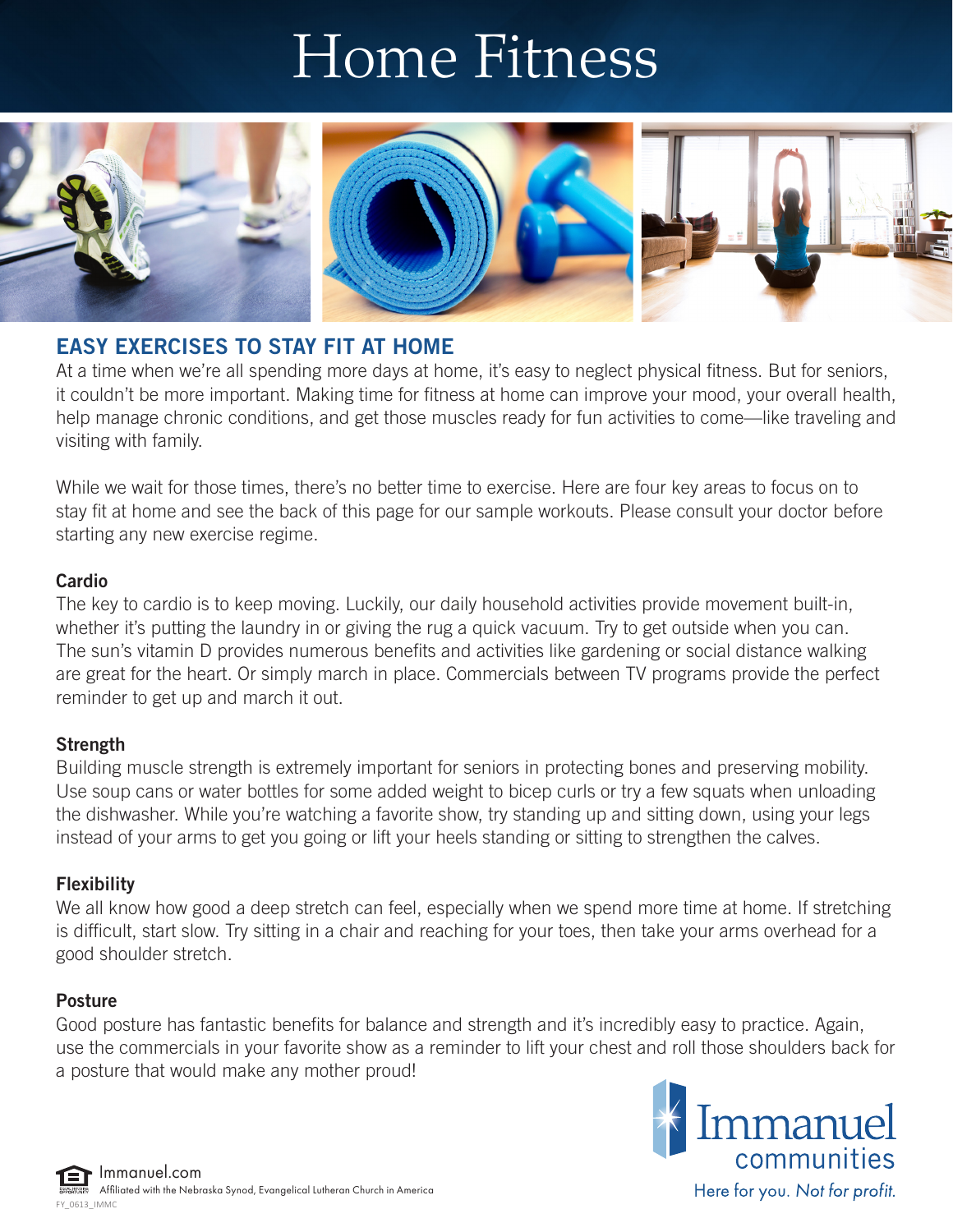# Home Fitness



# EASY EXERCISES TO STAY FIT AT HOME

At a time when we're all spending more days at home, it's easy to neglect physical fitness. But for seniors, it couldn't be more important. Making time for fitness at home can improve your mood, your overall health, help manage chronic conditions, and get those muscles ready for fun activities to come—like traveling and visiting with family.

While we wait for those times, there's no better time to exercise. Here are four key areas to focus on to stay fit at home and see the back of this page for our sample workouts. Please consult your doctor before starting any new exercise regime.

### **Cardio**

The key to cardio is to keep moving. Luckily, our daily household activities provide movement built-in, whether it's putting the laundry in or giving the rug a quick vacuum. Try to get outside when you can. The sun's vitamin D provides numerous benefits and activities like gardening or social distance walking are great for the heart. Or simply march in place. Commercials between TV programs provide the perfect reminder to get up and march it out.

## Strength

Building muscle strength is extremely important for seniors in protecting bones and preserving mobility. Use soup cans or water bottles for some added weight to bicep curls or try a few squats when unloading the dishwasher. While you're watching a favorite show, try standing up and sitting down, using your legs instead of your arms to get you going or lift your heels standing or sitting to strengthen the calves.

## Flexibility

We all know how good a deep stretch can feel, especially when we spend more time at home. If stretching is difficult, start slow. Try sitting in a chair and reaching for your toes, then take your arms overhead for a good shoulder stretch.

## Posture

Good posture has fantastic benefits for balance and strength and it's incredibly easy to practice. Again, use the commercials in your favorite show as a reminder to lift your chest and roll those shoulders back for a posture that would make any mother proud!